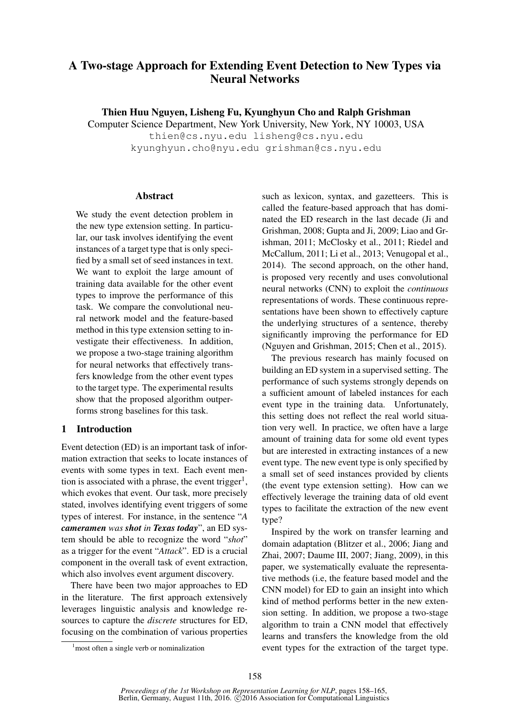# A Two-stage Approach for Extending Event Detection to New Types via Neural Networks

Thien Huu Nguyen, Lisheng Fu, Kyunghyun Cho and Ralph Grishman

Computer Science Department, New York University, New York, NY 10003, USA

thien@cs.nyu.edu lisheng@cs.nyu.edu kyunghyun.cho@nyu.edu grishman@cs.nyu.edu

# Abstract

We study the event detection problem in the new type extension setting. In particular, our task involves identifying the event instances of a target type that is only specified by a small set of seed instances in text. We want to exploit the large amount of training data available for the other event types to improve the performance of this task. We compare the convolutional neural network model and the feature-based method in this type extension setting to investigate their effectiveness. In addition, we propose a two-stage training algorithm for neural networks that effectively transfers knowledge from the other event types to the target type. The experimental results show that the proposed algorithm outperforms strong baselines for this task.

# 1 Introduction

Event detection (ED) is an important task of information extraction that seeks to locate instances of events with some types in text. Each event mention is associated with a phrase, the event trigger<sup>1</sup>, which evokes that event. Our task, more precisely stated, involves identifying event triggers of some types of interest. For instance, in the sentence "*A cameramen was shot in Texas today*", an ED system should be able to recognize the word "*shot*" as a trigger for the event "*Attack*". ED is a crucial component in the overall task of event extraction, which also involves event argument discovery.

There have been two major approaches to ED in the literature. The first approach extensively leverages linguistic analysis and knowledge resources to capture the *discrete* structures for ED, focusing on the combination of various properties such as lexicon, syntax, and gazetteers. This is called the feature-based approach that has dominated the ED research in the last decade (Ji and Grishman, 2008; Gupta and Ji, 2009; Liao and Grishman, 2011; McClosky et al., 2011; Riedel and McCallum, 2011; Li et al., 2013; Venugopal et al., 2014). The second approach, on the other hand, is proposed very recently and uses convolutional neural networks (CNN) to exploit the *continuous* representations of words. These continuous representations have been shown to effectively capture the underlying structures of a sentence, thereby significantly improving the performance for ED (Nguyen and Grishman, 2015; Chen et al., 2015).

The previous research has mainly focused on building an ED system in a supervised setting. The performance of such systems strongly depends on a sufficient amount of labeled instances for each event type in the training data. Unfortunately, this setting does not reflect the real world situation very well. In practice, we often have a large amount of training data for some old event types but are interested in extracting instances of a new event type. The new event type is only specified by a small set of seed instances provided by clients (the event type extension setting). How can we effectively leverage the training data of old event types to facilitate the extraction of the new event type?

Inspired by the work on transfer learning and domain adaptation (Blitzer et al., 2006; Jiang and Zhai, 2007; Daume III, 2007; Jiang, 2009), in this paper, we systematically evaluate the representative methods (i.e, the feature based model and the CNN model) for ED to gain an insight into which kind of method performs better in the new extension setting. In addition, we propose a two-stage algorithm to train a CNN model that effectively learns and transfers the knowledge from the old event types for the extraction of the target type.

<sup>&</sup>lt;sup>1</sup> most often a single verb or nominalization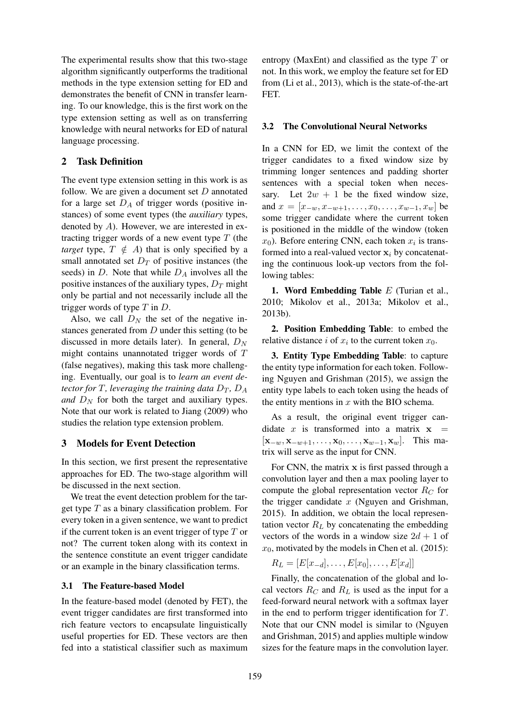The experimental results show that this two-stage algorithm significantly outperforms the traditional methods in the type extension setting for ED and demonstrates the benefit of CNN in transfer learning. To our knowledge, this is the first work on the type extension setting as well as on transferring knowledge with neural networks for ED of natural language processing.

# 2 Task Definition

The event type extension setting in this work is as follow. We are given a document set  $D$  annotated for a large set  $D_A$  of trigger words (positive instances) of some event types (the *auxiliary* types, denoted by  $A$ ). However, we are interested in extracting trigger words of a new event type  $T$  (the *target* type,  $T \notin A$ ) that is only specified by a small annotated set  $D_T$  of positive instances (the seeds) in  $D$ . Note that while  $D<sub>A</sub>$  involves all the positive instances of the auxiliary types,  $D_T$  might only be partial and not necessarily include all the trigger words of type  $T$  in  $D$ .

Also, we call  $D<sub>N</sub>$  the set of the negative instances generated from  $D$  under this setting (to be discussed in more details later). In general,  $D<sub>N</sub>$ might contains unannotated trigger words of T (false negatives), making this task more challenging. Eventually, our goal is to *learn an event detector for* T, leveraging the training data  $D_T$ ,  $D_A$ *and*  $D<sub>N</sub>$  for both the target and auxiliary types. Note that our work is related to Jiang (2009) who studies the relation type extension problem.

## 3 Models for Event Detection

In this section, we first present the representative approaches for ED. The two-stage algorithm will be discussed in the next section.

We treat the event detection problem for the target type  $T$  as a binary classification problem. For every token in a given sentence, we want to predict if the current token is an event trigger of type  $T$  or not? The current token along with its context in the sentence constitute an event trigger candidate or an example in the binary classification terms.

## 3.1 The Feature-based Model

In the feature-based model (denoted by FET), the event trigger candidates are first transformed into rich feature vectors to encapsulate linguistically useful properties for ED. These vectors are then fed into a statistical classifier such as maximum

entropy (MaxEnt) and classified as the type  $T$  or not. In this work, we employ the feature set for ED from (Li et al., 2013), which is the state-of-the-art FET.

#### 3.2 The Convolutional Neural Networks

In a CNN for ED, we limit the context of the trigger candidates to a fixed window size by trimming longer sentences and padding shorter sentences with a special token when necessary. Let  $2w + 1$  be the fixed window size, and  $x = [x_{-w}, x_{-w+1}, \dots, x_0, \dots, x_{w-1}, x_w]$  be some trigger candidate where the current token is positioned in the middle of the window (token  $x_0$ ). Before entering CNN, each token  $x_i$  is transformed into a real-valued vector  $x_i$  by concatenating the continuous look-up vectors from the following tables:

1. Word Embedding Table  $E$  (Turian et al., 2010; Mikolov et al., 2013a; Mikolov et al., 2013b).

2. Position Embedding Table: to embed the relative distance *i* of  $x_i$  to the current token  $x_0$ .

3. Entity Type Embedding Table: to capture the entity type information for each token. Following Nguyen and Grishman (2015), we assign the entity type labels to each token using the heads of the entity mentions in  $x$  with the BIO schema.

As a result, the original event trigger candidate x is transformed into a matrix  $x =$  $[\mathbf{x}_{-w}, \mathbf{x}_{-w+1}, \dots, \mathbf{x}_0, \dots, \mathbf{x}_{w-1}, \mathbf{x}_w].$  This matrix will serve as the input for CNN.

For CNN, the matrix  $x$  is first passed through a convolution layer and then a max pooling layer to compute the global representation vector  $R_C$  for the trigger candidate  $x$  (Nguyen and Grishman, 2015). In addition, we obtain the local representation vector  $R_L$  by concatenating the embedding vectors of the words in a window size  $2d + 1$  of  $x_0$ , motivated by the models in Chen et al. (2015):

$$
R_L = [E[x_{-d}], \ldots, E[x_0], \ldots, E[x_d]]
$$

Finally, the concatenation of the global and local vectors  $R_C$  and  $R_L$  is used as the input for a feed-forward neural network with a softmax layer in the end to perform trigger identification for T. Note that our CNN model is similar to (Nguyen and Grishman, 2015) and applies multiple window sizes for the feature maps in the convolution layer.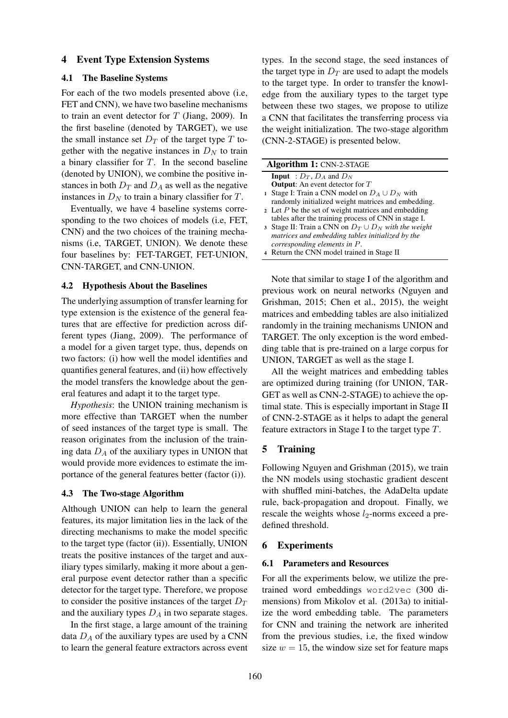## 4 Event Type Extension Systems

## 4.1 The Baseline Systems

For each of the two models presented above (i.e, FET and CNN), we have two baseline mechanisms to train an event detector for  $T$  (Jiang, 2009). In the first baseline (denoted by TARGET), we use the small instance set  $D_T$  of the target type T together with the negative instances in  $D<sub>N</sub>$  to train a binary classifier for  $T$ . In the second baseline (denoted by UNION), we combine the positive instances in both  $D_T$  and  $D_A$  as well as the negative instances in  $D<sub>N</sub>$  to train a binary classifier for T.

Eventually, we have 4 baseline systems corresponding to the two choices of models (i.e, FET, CNN) and the two choices of the training mechanisms (i.e, TARGET, UNION). We denote these four baselines by: FET-TARGET, FET-UNION, CNN-TARGET, and CNN-UNION.

#### 4.2 Hypothesis About the Baselines

The underlying assumption of transfer learning for type extension is the existence of the general features that are effective for prediction across different types (Jiang, 2009). The performance of a model for a given target type, thus, depends on two factors: (i) how well the model identifies and quantifies general features, and (ii) how effectively the model transfers the knowledge about the general features and adapt it to the target type.

*Hypothesis*: the UNION training mechanism is more effective than TARGET when the number of seed instances of the target type is small. The reason originates from the inclusion of the training data  $D_A$  of the auxiliary types in UNION that would provide more evidences to estimate the importance of the general features better (factor (i)).

## 4.3 The Two-stage Algorithm

Although UNION can help to learn the general features, its major limitation lies in the lack of the directing mechanisms to make the model specific to the target type (factor (ii)). Essentially, UNION treats the positive instances of the target and auxiliary types similarly, making it more about a general purpose event detector rather than a specific detector for the target type. Therefore, we propose to consider the positive instances of the target  $D_T$ and the auxiliary types  $D_A$  in two separate stages.

In the first stage, a large amount of the training data  $D_A$  of the auxiliary types are used by a CNN to learn the general feature extractors across event types. In the second stage, the seed instances of the target type in  $D_T$  are used to adapt the models to the target type. In order to transfer the knowledge from the auxiliary types to the target type between these two stages, we propose to utilize a CNN that facilitates the transferring process via the weight initialization. The two-stage algorithm (CNN-2-STAGE) is presented below.

| <b>Algorithm 1: CNN-2-STAGE</b>                           |  |  |  |  |  |
|-----------------------------------------------------------|--|--|--|--|--|
| <b>Input</b> : $D_T$ , $D_A$ and $D_N$                    |  |  |  |  |  |
| <b>Output:</b> An event detector for $T$                  |  |  |  |  |  |
| 1 Stage I: Train a CNN model on $D_A \cup D_N$ with       |  |  |  |  |  |
| randomly initialized weight matrices and embedding.       |  |  |  |  |  |
| 2 Let $P$ be the set of weight matrices and embedding     |  |  |  |  |  |
| tables after the training process of CNN in stage I.      |  |  |  |  |  |
| 3 Stage II: Train a CNN on $D_T \cup D_N$ with the weight |  |  |  |  |  |
| matrices and embedding tables initialized by the          |  |  |  |  |  |
| corresponding elements in P.                              |  |  |  |  |  |
| 4 Return the CNN model trained in Stage II                |  |  |  |  |  |

Note that similar to stage I of the algorithm and previous work on neural networks (Nguyen and Grishman, 2015; Chen et al., 2015), the weight matrices and embedding tables are also initialized randomly in the training mechanisms UNION and TARGET. The only exception is the word embedding table that is pre-trained on a large corpus for UNION, TARGET as well as the stage I.

All the weight matrices and embedding tables are optimized during training (for UNION, TAR-GET as well as CNN-2-STAGE) to achieve the optimal state. This is especially important in Stage II of CNN-2-STAGE as it helps to adapt the general feature extractors in Stage I to the target type  $T$ .

## 5 Training

Following Nguyen and Grishman (2015), we train the NN models using stochastic gradient descent with shuffled mini-batches, the AdaDelta update rule, back-propagation and dropout. Finally, we rescale the weights whose  $l_2$ -norms exceed a predefined threshold.

## 6 Experiments

#### 6.1 Parameters and Resources

For all the experiments below, we utilize the pretrained word embeddings word2vec (300 dimensions) from Mikolov et al. (2013a) to initialize the word embedding table. The parameters for CNN and training the network are inherited from the previous studies, i.e, the fixed window size  $w = 15$ , the window size set for feature maps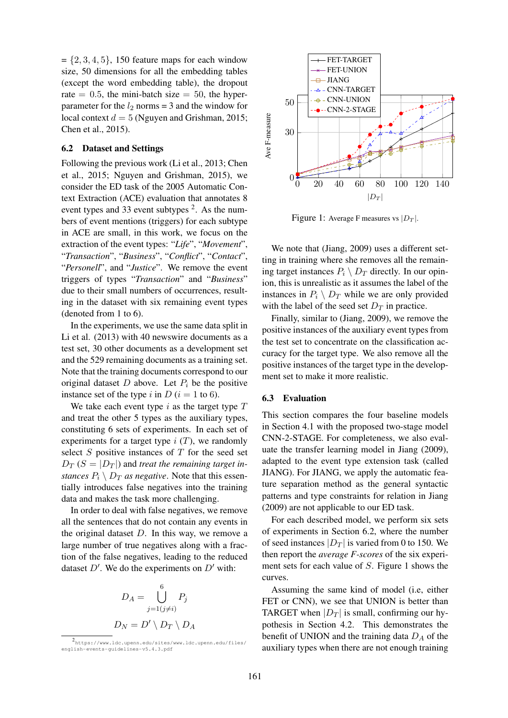$= \{2, 3, 4, 5\}, 150$  feature maps for each window size, 50 dimensions for all the embedding tables (except the word embedding table), the dropout rate  $= 0.5$ , the mini-batch size  $= 50$ , the hyperparameter for the  $l_2$  norms = 3 and the window for local context  $d = 5$  (Nguyen and Grishman, 2015; Chen et al., 2015).

#### 6.2 Dataset and Settings

Following the previous work (Li et al., 2013; Chen et al., 2015; Nguyen and Grishman, 2015), we consider the ED task of the 2005 Automatic Context Extraction (ACE) evaluation that annotates 8 event types and 33 event subtypes  $2$ . As the numbers of event mentions (triggers) for each subtype in ACE are small, in this work, we focus on the extraction of the event types: "*Life*", "*Movement*", "*Transaction*", "*Business*", "*Conflict*", "*Contact*", "*Personell*", and "*Justice*". We remove the event triggers of types "*Transaction*" and "*Business*" due to their small numbers of occurrences, resulting in the dataset with six remaining event types (denoted from 1 to 6).

In the experiments, we use the same data split in Li et al. (2013) with 40 newswire documents as a test set, 30 other documents as a development set and the 529 remaining documents as a training set. Note that the training documents correspond to our original dataset  $D$  above. Let  $P_i$  be the positive instance set of the type i in D ( $i = 1$  to 6).

We take each event type i as the target type  $T$ and treat the other 5 types as the auxiliary types, constituting 6 sets of experiments. In each set of experiments for a target type  $i$  (T), we randomly select  $S$  positive instances of  $T$  for the seed set  $D_T$  ( $S = |D_T|$ ) and *treat the remaining target instances*  $P_i \setminus D_T$  *as negative*. Note that this essentially introduces false negatives into the training data and makes the task more challenging.

In order to deal with false negatives, we remove all the sentences that do not contain any events in the original dataset  $D$ . In this way, we remove a large number of true negatives along with a fraction of the false negatives, leading to the reduced dataset  $D'$ . We do the experiments on  $D'$  with:

$$
D_A = \bigcup_{j=1(j\neq i)}^{6} P_j
$$

$$
D_N = D' \setminus D_T \setminus D_A
$$



Figure 1: Average F measures vs  $|D_T|$ .

We note that (Jiang, 2009) uses a different setting in training where she removes all the remaining target instances  $P_i \setminus D_T$  directly. In our opinion, this is unrealistic as it assumes the label of the instances in  $P_i \setminus D_T$  while we are only provided with the label of the seed set  $D_T$  in practice.

Finally, similar to (Jiang, 2009), we remove the positive instances of the auxiliary event types from the test set to concentrate on the classification accuracy for the target type. We also remove all the positive instances of the target type in the development set to make it more realistic.

#### 6.3 Evaluation

This section compares the four baseline models in Section 4.1 with the proposed two-stage model CNN-2-STAGE. For completeness, we also evaluate the transfer learning model in Jiang (2009), adapted to the event type extension task (called JIANG). For JIANG, we apply the automatic feature separation method as the general syntactic patterns and type constraints for relation in Jiang (2009) are not applicable to our ED task.

For each described model, we perform six sets of experiments in Section 6.2, where the number of seed instances  $|D_T|$  is varied from 0 to 150. We then report the *average F-scores* of the six experiment sets for each value of S. Figure 1 shows the curves.

Assuming the same kind of model (i.e, either FET or CNN), we see that UNION is better than TARGET when  $|D_T|$  is small, confirming our hypothesis in Section 4.2. This demonstrates the benefit of UNION and the training data  $D_A$  of the auxiliary types when there are not enough training

<sup>2</sup> https://www.ldc.upenn.edu/sites/www.ldc.upenn.edu/files/ english-events-guidelines-v5.4.3.pdf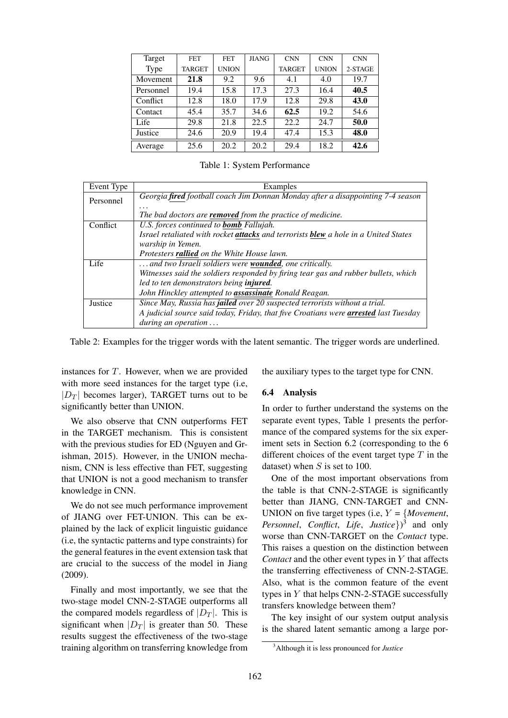| Target          | <b>FET</b>    | <b>FET</b>   | <b>JIANG</b> | <b>CNN</b>    | <b>CNN</b>   | <b>CNN</b> |
|-----------------|---------------|--------------|--------------|---------------|--------------|------------|
| Type            | <b>TARGET</b> | <b>UNION</b> |              | <b>TARGET</b> | <b>UNION</b> | 2-STAGE    |
| <b>Movement</b> | 21.8          | 9.2          | 9.6          | 4.1           | 4.0          | 19.7       |
| Personnel       | 19.4          | 15.8         | 17.3         | 27.3          | 16.4         | 40.5       |
| Conflict        | 12.8          | 18.0         | 17.9         | 12.8          | 29.8         | 43.0       |
| Contact         | 45.4          | 35.7         | 34.6         | 62.5          | 19.2         | 54.6       |
| Life            | 29.8          | 21.8         | 22.5         | 22.2          | 24.7         | 50.0       |
| Justice         | 24.6          | 20.9         | 19.4         | 47.4          | 15.3         | 48.0       |
| Average         | 25.6          | 20.2         | 20.2         | 29.4          | 18.2         | 42.6       |

Table 1: System Performance

| Event Type | Examples                                                                             |  |  |  |
|------------|--------------------------------------------------------------------------------------|--|--|--|
| Personnel  | Georgia fired football coach Jim Donnan Monday after a disappointing 7-4 season      |  |  |  |
|            | .                                                                                    |  |  |  |
|            | The bad doctors are <b>removed</b> from the practice of medicine.                    |  |  |  |
| Conflict   | U.S. forces continued to <b>bomb</b> Fallujah.                                       |  |  |  |
|            | Israel retaliated with rocket attacks and terrorists blew a hole in a United States  |  |  |  |
|            | warship in Yemen.                                                                    |  |  |  |
|            | Protesters <b>rallied</b> on the White House lawn.                                   |  |  |  |
| Life       | and two Israeli soldiers were <b>wounded</b> , one critically.                       |  |  |  |
|            | Witnesses said the soldiers responded by firing tear gas and rubber bullets, which   |  |  |  |
|            | led to ten demonstrators being injured.                                              |  |  |  |
|            | John Hinckley attempted to assassinate Ronald Reagan.                                |  |  |  |
| Justice    | Since May, Russia has jailed over 20 suspected terrorists without a trial.           |  |  |  |
|            | A judicial source said today, Friday, that five Croatians were arrested last Tuesday |  |  |  |
|            | during an operation $\ldots$                                                         |  |  |  |

Table 2: Examples for the trigger words with the latent semantic. The trigger words are underlined.

instances for  $T$ . However, when we are provided with more seed instances for the target type (i.e,  $|D_T|$  becomes larger), TARGET turns out to be significantly better than UNION.

We also observe that CNN outperforms FET in the TARGET mechanism. This is consistent with the previous studies for ED (Nguyen and Grishman, 2015). However, in the UNION mechanism, CNN is less effective than FET, suggesting that UNION is not a good mechanism to transfer knowledge in CNN.

We do not see much performance improvement of JIANG over FET-UNION. This can be explained by the lack of explicit linguistic guidance (i.e, the syntactic patterns and type constraints) for the general features in the event extension task that are crucial to the success of the model in Jiang (2009).

Finally and most importantly, we see that the two-stage model CNN-2-STAGE outperforms all the compared models regardless of  $|D_T|$ . This is significant when  $|D_T|$  is greater than 50. These results suggest the effectiveness of the two-stage training algorithm on transferring knowledge from the auxiliary types to the target type for CNN.

## 6.4 Analysis

In order to further understand the systems on the separate event types, Table 1 presents the performance of the compared systems for the six experiment sets in Section 6.2 (corresponding to the 6 different choices of the event target type  $T$  in the dataset) when  $S$  is set to 100.

One of the most important observations from the table is that CNN-2-STAGE is significantly better than JIANG, CNN-TARGET and CNN-UNION on five target types (i.e,  $Y = \{Movement,$ *Personnel*, *Conflict*, *Life*, *Justice*}) 3 and only worse than CNN-TARGET on the *Contact* type. This raises a question on the distinction between *Contact* and the other event types in Y that affects the transferring effectiveness of CNN-2-STAGE. Also, what is the common feature of the event types in Y that helps CNN-2-STAGE successfully transfers knowledge between them?

The key insight of our system output analysis is the shared latent semantic among a large por-

<sup>3</sup>Although it is less pronounced for *Justice*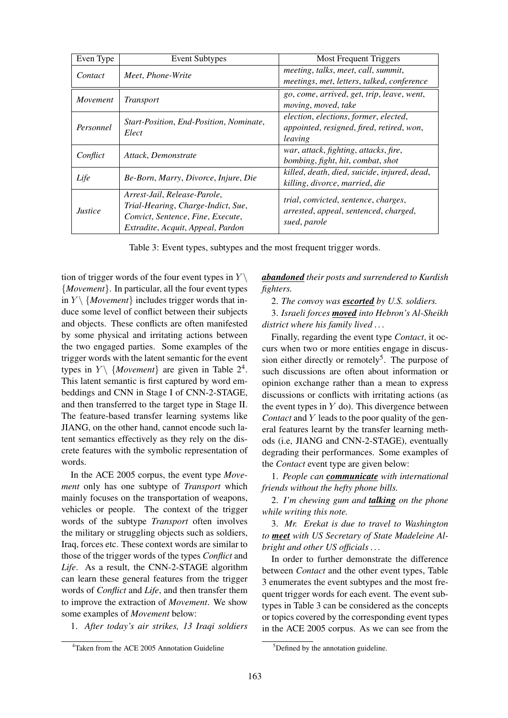| Even Type      | <b>Event Subtypes</b>                                                                                                                        | <b>Most Frequent Triggers</b>                                                                 |
|----------------|----------------------------------------------------------------------------------------------------------------------------------------------|-----------------------------------------------------------------------------------------------|
| Contact        | Meet, Phone-Write                                                                                                                            | meeting, talks, meet, call, summit,<br>meetings, met, letters, talked, conference             |
| Movement       | <i>Transport</i>                                                                                                                             | go, come, arrived, get, trip, leave, went,<br>moving, moved, take                             |
| Personnel      | Start-Position, End-Position, Nominate,<br>Elect                                                                                             | election, elections, former, elected,<br>appointed, resigned, fired, retired, won,<br>leaving |
| Conflict       | Attack, Demonstrate                                                                                                                          | war, attack, fighting, attacks, fire,<br>bombing, fight, hit, combat, shot                    |
| Life           | Be-Born, Marry, Divorce, Injure, Die                                                                                                         | killed, death, died, suicide, injured, dead,<br>killing, divorce, married, die                |
| <i>Justice</i> | Arrest-Jail, Release-Parole,<br>Trial-Hearing, Charge-Indict, Sue,<br>Convict, Sentence, Fine, Execute,<br>Extradite, Acquit, Appeal, Pardon | trial, convicted, sentence, charges,<br>arrested, appeal, sentenced, charged,<br>sued, parole |

Table 3: Event types, subtypes and the most frequent trigger words.

tion of trigger words of the four event types in  $Y \setminus Y$ {*Movement*}. In particular, all the four event types in  $Y \setminus \{Movement\}$  includes trigger words that induce some level of conflict between their subjects and objects. These conflicts are often manifested by some physical and irritating actions between the two engaged parties. Some examples of the trigger words with the latent semantic for the event types in  $Y \setminus \{Movement\}$  are given in Table 2<sup>4</sup>. This latent semantic is first captured by word embeddings and CNN in Stage I of CNN-2-STAGE, and then transferred to the target type in Stage II. The feature-based transfer learning systems like JIANG, on the other hand, cannot encode such latent semantics effectively as they rely on the discrete features with the symbolic representation of words.

In the ACE 2005 corpus, the event type *Movement* only has one subtype of *Transport* which mainly focuses on the transportation of weapons, vehicles or people. The context of the trigger words of the subtype *Transport* often involves the military or struggling objects such as soldiers, Iraq, forces etc. These context words are similar to those of the trigger words of the types *Conflict* and *Life*. As a result, the CNN-2-STAGE algorithm can learn these general features from the trigger words of *Conflict* and *Life*, and then transfer them to improve the extraction of *Movement*. We show some examples of *Movement* below:

1. *After today's air strikes, 13 Iraqi soldiers*

*abandoned their posts and surrendered to Kurdish fighters.*

2. *The convoy was escorted by U.S. soldiers.*

3. *Israeli forces moved into Hebron's Al-Sheikh district where his family lived . . .*

Finally, regarding the event type *Contact*, it occurs when two or more entities engage in discussion either directly or remotely<sup>5</sup>. The purpose of such discussions are often about information or opinion exchange rather than a mean to express discussions or conflicts with irritating actions (as the event types in  $Y$  do). This divergence between *Contact* and Y leads to the poor quality of the general features learnt by the transfer learning methods (i.e, JIANG and CNN-2-STAGE), eventually degrading their performances. Some examples of the *Contact* event type are given below:

1. *People can communicate with international friends without the hefty phone bills.*

2. *I'm chewing gum and talking on the phone while writing this note.*

3. *Mr. Erekat is due to travel to Washington to meet with US Secretary of State Madeleine Albright and other US officials . . .*

In order to further demonstrate the difference between *Contact* and the other event types, Table 3 enumerates the event subtypes and the most frequent trigger words for each event. The event subtypes in Table 3 can be considered as the concepts or topics covered by the corresponding event types in the ACE 2005 corpus. As we can see from the

<sup>&</sup>lt;sup>4</sup>Taken from the ACE 2005 Annotation Guideline

 $5$ Defined by the annotation guideline.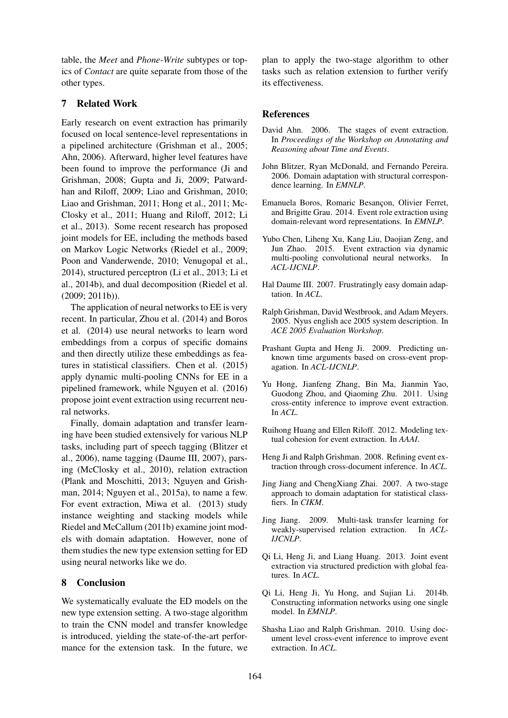table, the *Meet* and *Phone-Write* subtypes or topics of *Contact* are quite separate from those of the other types.

# 7 Related Work

Early research on event extraction has primarily focused on local sentence-level representations in a pipelined architecture (Grishman et al., 2005; Ahn, 2006). Afterward, higher level features have been found to improve the performance (Ji and Grishman, 2008; Gupta and Ji, 2009; Patwardhan and Riloff, 2009; Liao and Grishman, 2010; Liao and Grishman, 2011; Hong et al., 2011; Mc-Closky et al., 2011; Huang and Riloff, 2012; Li et al., 2013). Some recent research has proposed joint models for EE, including the methods based on Markov Logic Networks (Riedel et al., 2009; Poon and Vanderwende, 2010; Venugopal et al., 2014), structured perceptron (Li et al., 2013; Li et al., 2014b), and dual decomposition (Riedel et al. (2009; 2011b)).

The application of neural networks to EE is very recent. In particular, Zhou et al. (2014) and Boros et al. (2014) use neural networks to learn word embeddings from a corpus of specific domains and then directly utilize these embeddings as features in statistical classifiers. Chen et al. (2015) apply dynamic multi-pooling CNNs for EE in a pipelined framework, while Nguyen et al. (2016) propose joint event extraction using recurrent neural networks.

Finally, domain adaptation and transfer learning have been studied extensively for various NLP tasks, including part of speech tagging (Blitzer et al., 2006), name tagging (Daume III, 2007), parsing (McClosky et al., 2010), relation extraction (Plank and Moschitti, 2013; Nguyen and Grishman, 2014; Nguyen et al., 2015a), to name a few. For event extraction, Miwa et al. (2013) study instance weighting and stacking models while Riedel and McCallum (2011b) examine joint models with domain adaptation. However, none of them studies the new type extension setting for ED using neural networks like we do.

## 8 Conclusion

We systematically evaluate the ED models on the new type extension setting. A two-stage algorithm to train the CNN model and transfer knowledge is introduced, yielding the state-of-the-art performance for the extension task. In the future, we plan to apply the two-stage algorithm to other tasks such as relation extension to further verify its effectiveness.

## References

- David Ahn. 2006. The stages of event extraction. In *Proceedings of the Workshop on Annotating and Reasoning about Time and Events*.
- John Blitzer, Ryan McDonald, and Fernando Pereira. 2006. Domain adaptation with structural correspondence learning. In *EMNLP*.
- Emanuela Boros, Romaric Besançon, Olivier Ferret, and Brigitte Grau. 2014. Event role extraction using domain-relevant word representations. In *EMNLP*.
- Yubo Chen, Liheng Xu, Kang Liu, Daojian Zeng, and Jun Zhao. 2015. Event extraction via dynamic multi-pooling convolutional neural networks. In *ACL-IJCNLP*.
- Hal Daume III. 2007. Frustratingly easy domain adaptation. In *ACL*.
- Ralph Grishman, David Westbrook, and Adam Meyers. 2005. Nyus english ace 2005 system description. In *ACE 2005 Evaluation Workshop*.
- Prashant Gupta and Heng Ji. 2009. Predicting unknown time arguments based on cross-event propagation. In *ACL-IJCNLP*.
- Yu Hong, Jianfeng Zhang, Bin Ma, Jianmin Yao, Guodong Zhou, and Qiaoming Zhu. 2011. Using cross-entity inference to improve event extraction. In *ACL*.
- Ruihong Huang and Ellen Riloff. 2012. Modeling textual cohesion for event extraction. In *AAAI*.
- Heng Ji and Ralph Grishman. 2008. Refining event extraction through cross-document inference. In *ACL*.
- Jing Jiang and ChengXiang Zhai. 2007. A two-stage approach to domain adaptation for statistical classfiers. In *CIKM*.
- Jing Jiang. 2009. Multi-task transfer learning for weakly-supervised relation extraction. In *ACL-IJCNLP*.
- Qi Li, Heng Ji, and Liang Huang. 2013. Joint event extraction via structured prediction with global features. In *ACL*.
- Qi Li, Heng Ji, Yu Hong, and Sujian Li. 2014b. Constructing information networks using one single model. In *EMNLP*.
- Shasha Liao and Ralph Grishman. 2010. Using document level cross-event inference to improve event extraction. In *ACL*.